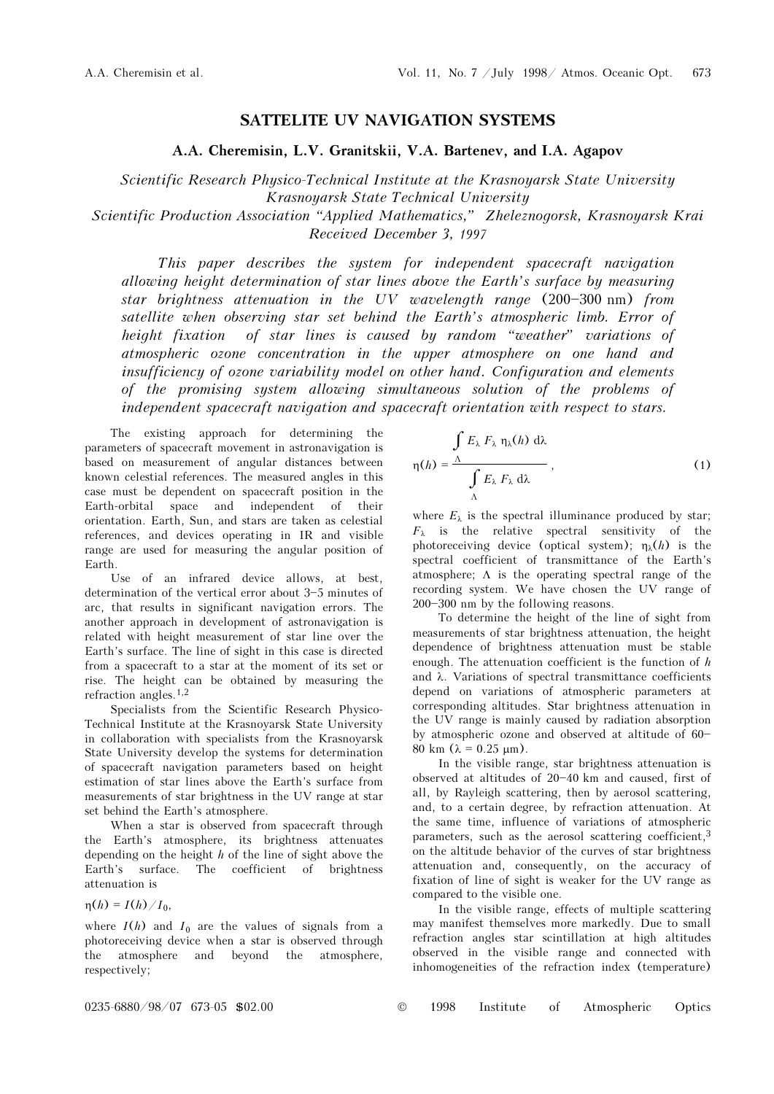## SATTELITE UV NAVIGATION SYSTEMS

A.A. Cheremisin, L.V. Granitskii, V.A. Bartenev, and I.A. Agapov

Scientific Research Physico-Technical Institute at the Krasnoyarsk State University Krasnoyarsk State Technical University

Scientific Production Association "Applied Mathematics," Zheleznogorsk, Krasnoyarsk Krai Received December 3, 1997

This paper describes the system for independent spacecraft navigation allowing height determination of star lines above the Earth's surface by measuring star brightness attenuation in the UV wavelength range  $(200-300 \text{ nm})$  from satellite when observing star set behind the Earth's atmospheric limb. Error of height fixation of star lines is caused by random "weather" variations of atmospheric ozone concentration in the upper atmosphere on one hand and insufficiency of ozone variability model on other hand. Configuration and elements of the promising system allowing simultaneous solution of the problems of independent spacecraft navigation and spacecraft orientation with respect to stars.

The existing approach for determining the parameters of spacecraft movement in astronavigation is based on measurement of angular distances between known celestial references. The measured angles in this case must be dependent on spacecraft position in the Earth-orbital space and independent of their orientation. Earth, Sun, and stars are taken as celestial references, and devices operating in IR and visible range are used for measuring the angular position of Earth.

Use of an infrared device allows, at best, determination of the vertical error about 3-5 minutes of arc, that results in significant navigation errors. The another approach in development of astronavigation is related with height measurement of star line over the Earth's surface. The line of sight in this case is directed from a spacecraft to a star at the moment of its set or rise. The height can be obtained by measuring the refraction angles.1,2

Specialists from the Scientific Research Physico-Technical Institute at the Krasnoyarsk State University in collaboration with specialists from the Krasnoyarsk State University develop the systems for determination of spacecraft navigation parameters based on height estimation of star lines above the Earth's surface from measurements of star brightness in the UV range at star set behind the Earth's atmosphere.

When a star is observed from spacecraft through the Earth's atmosphere, its brightness attenuates depending on the height  $h$  of the line of sight above the Earth's surface. The coefficient of brightness attenuation is

$$
\eta(h)=I(h)/I_0,
$$

where  $I(h)$  and  $I_0$  are the values of signals from a photoreceiving device when a star is observed through the atmosphere and beyond the atmosphere, respectively;

$$
\int_{\eta(h)} E_{\lambda} F_{\lambda} \eta_{\lambda}(h) d\lambda
$$
\n
$$
\eta(h) = \frac{\Lambda}{\int_{\Lambda} E_{\lambda} F_{\lambda} d\lambda},
$$
\n(1)

where  $E_{\lambda}$  is the spectral illuminance produced by star;  $F_{\lambda}$  is the relative spectral sensitivity of the photoreceiving device (optical system);  $\eta_{\lambda}(h)$  is the spectral coefficient of transmittance of the Earth's atmosphere;  $\Lambda$  is the operating spectral range of the recording system. We have chosen the UV range of 200-300 nm by the following reasons.

To determine the height of the line of sight from measurements of star brightness attenuation, the height dependence of brightness attenuation must be stable enough. The attenuation coefficient is the function of  $h$ and λ. Variations of spectral transmittance coefficients depend on variations of atmospheric parameters at corresponding altitudes. Star brightness attenuation in the UV range is mainly caused by radiation absorption by atmospheric ozone and observed at altitude of  $60-$ 80 km  $(\lambda = 0.25 \text{ µm})$ .

In the visible range, star brightness attenuation is observed at altitudes of  $20 - 40$  km and caused, first of all, by Rayleigh scattering, then by aerosol scattering, and, to a certain degree, by refraction attenuation. At the same time, influence of variations of atmospheric parameters, such as the aerosol scattering coefficient,<sup>3</sup> on the altitude behavior of the curves of star brightness attenuation and, consequently, on the accuracy of fixation of line of sight is weaker for the UV range as compared to the visible one.

In the visible range, effects of multiple scattering may manifest themselves more markedly. Due to small refraction angles star scintillation at high altitudes observed in the visible range and connected with inhomogeneities of the refraction index (temperature)

0235-6880/98/07 673-05 \$02.00 © 1998 Institute of Atmospheric Optics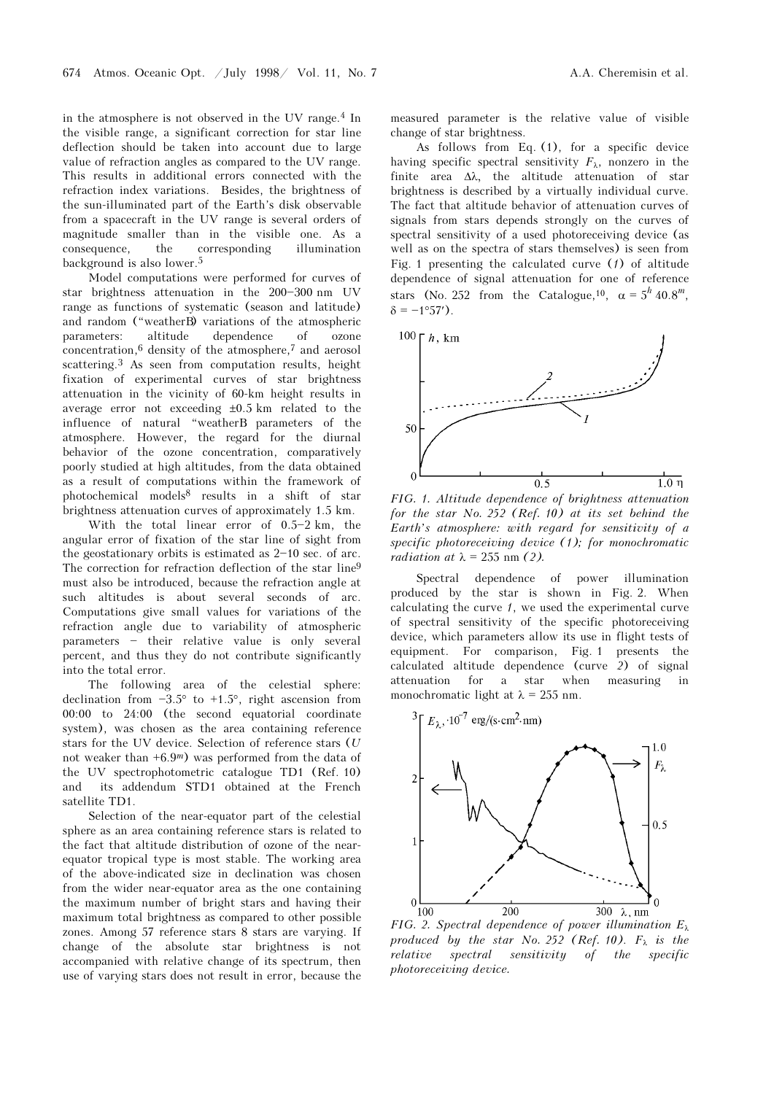in the atmosphere is not observed in the UV range.4 In the visible range, a significant correction for star line deflection should be taken into account due to large value of refraction angles as compared to the UV range. This results in additional errors connected with the refraction index variations. Besides, the brightness of the sun-illuminated part of the Earth's disk observable from a spacecraft in the UV range is several orders of magnitude smaller than in the visible one. As a consequence, the corresponding illumination background is also lower.<sup>5</sup>

Model computations were performed for curves of star brightness attenuation in the  $200 - 300$  nm UV range as functions of systematic (season and latitude) and random ("weatherB) variations of the atmospheric parameters: altitude dependence of ozone concentration,6 density of the atmosphere,7 and aerosol scattering.3 As seen from computation results, height fixation of experimental curves of star brightness attenuation in the vicinity of 60-km height results in average error not exceeding  $\pm 0.5$  km related to the influence of natural "weatherB parameters of the atmosphere. However, the regard for the diurnal behavior of the ozone concentration, comparatively poorly studied at high altitudes, from the data obtained as a result of computations within the framework of photochemical models8 results in a shift of star brightness attenuation curves of approximately 1.5 km.

With the total linear error of  $0.5-2 \text{ km}$ , the angular error of fixation of the star line of sight from the geostationary orbits is estimated as  $2-10$  sec. of arc. The correction for refraction deflection of the star line<sup>9</sup> must also be introduced, because the refraction angle at such altitudes is about several seconds of arc. Computations give small values for variations of the refraction angle due to variability of atmospheric  $parameters - their relative value is only several$ percent, and thus they do not contribute significantly into the total error.

The following area of the celestial sphere: declination from  $-3.5^{\circ}$  to  $+1.5^{\circ}$ , right ascension from 00:00 to 24:00 (the second equatorial coordinate system), was chosen as the area containing reference stars for the UV device. Selection of reference stars (U not weaker than  $+6.9<sup>m</sup>$ ) was performed from the data of the UV spectrophotometric catalogue TD1 (Ref. 10) and its addendum STD1 obtained at the French satellite TD1.

Selection of the near-equator part of the celestial sphere as an area containing reference stars is related to the fact that altitude distribution of ozone of the nearequator tropical type is most stable. The working area of the above-indicated size in declination was chosen from the wider near-equator area as the one containing the maximum number of bright stars and having their maximum total brightness as compared to other possible zones. Among 57 reference stars 8 stars are varying. If change of the absolute star brightness is not accompanied with relative change of its spectrum, then use of varying stars does not result in error, because the

measured parameter is the relative value of visible change of star brightness.

As follows from Eq. (1), for a specific device having specific spectral sensitivity  $F_{\lambda}$ , nonzero in the finite area Δλ, the altitude attenuation of star brightness is described by a virtually individual curve. The fact that altitude behavior of attenuation curves of signals from stars depends strongly on the curves of spectral sensitivity of a used photoreceiving device (as well as on the spectra of stars themselves) is seen from Fig. 1 presenting the calculated curve  $(1)$  of altitude dependence of signal attenuation for one of reference stars (No. 252 from the Catalogue,<sup>10</sup>,  $\alpha = 5^h 40.8^m$ ,  $\delta = -1^{\circ}57'$ ).



FIG. 1. Altitude dependence of brightness attenuation for the star No. 252 (Ref. 10) at its set behind the Earth's atmosphere: with regard for sensitivity of a specific photoreceiving device (1); for monochromatic radiation at  $\lambda = 255$  nm (2).

Spectral dependence of power illumination produced by the star is shown in Fig. 2. When calculating the curve 1, we used the experimental curve of spectral sensitivity of the specific photoreceiving device, which parameters allow its use in flight tests of equipment. For comparison, Fig. 1 presents the calculated altitude dependence (curve 2) of signal attenuation for a star when measuring in monochromatic light at  $\lambda = 255$  nm.



FIG. 2. Spectral dependence of power illumination  $E_{\lambda}$ produced by the star No. 252 (Ref. 10).  $F_{\lambda}$  is the relative spectral sensitivity of the specific photoreceiving device.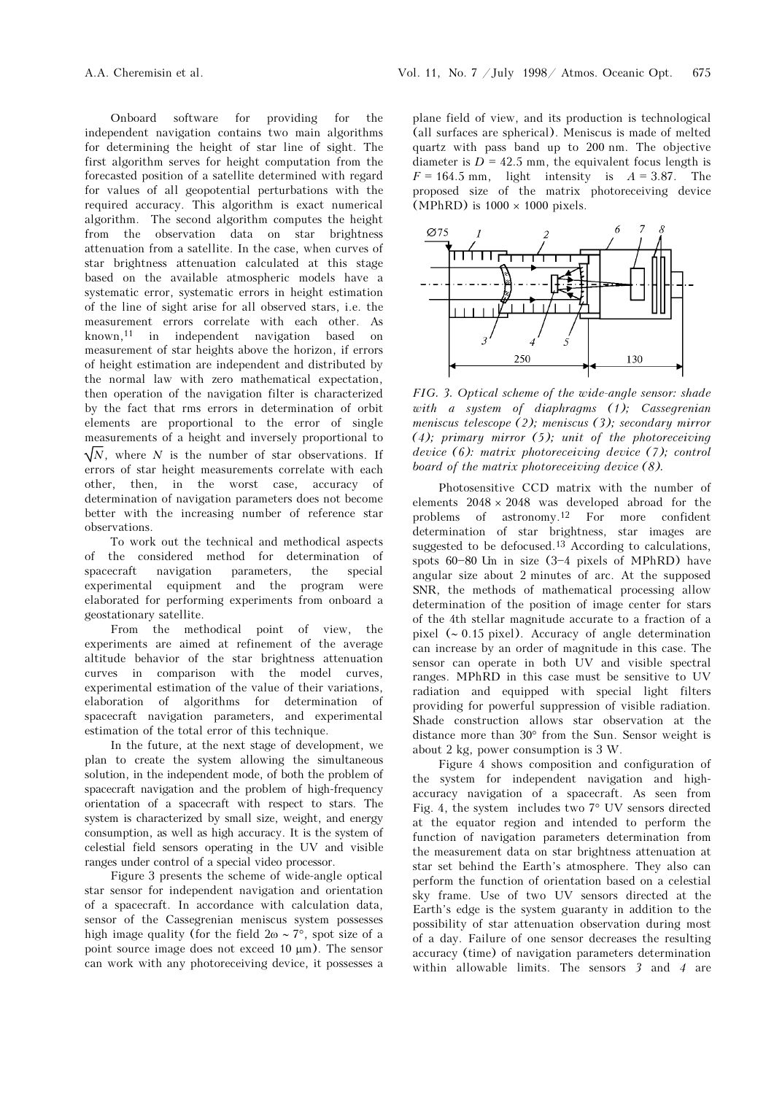Onboard software for providing for the independent navigation contains two main algorithms for determining the height of star line of sight. The first algorithm serves for height computation from the forecasted position of a satellite determined with regard for values of all geopotential perturbations with the required accuracy. This algorithm is exact numerical algorithm. The second algorithm computes the height from the observation data on star brightness attenuation from a satellite. In the case, when curves of star brightness attenuation calculated at this stage based on the available atmospheric models have a systematic error, systematic errors in height estimation of the line of sight arise for all observed stars, i.e. the measurement errors correlate with each other. As known,11 in independent navigation based on measurement of star heights above the horizon, if errors of height estimation are independent and distributed by the normal law with zero mathematical expectation, then operation of the navigation filter is characterized by the fact that rms errors in determination of orbit elements are proportional to the error of single measurements of a height and inversely proportional to  $\sqrt{N}$ , where N is the number of star observations. If errors of star height measurements correlate with each other, then, in the worst case, accuracy of determination of navigation parameters does not become better with the increasing number of reference star observations.

To work out the technical and methodical aspects of the considered method for determination of spacecraft navigation parameters, the special experimental equipment and the program were elaborated for performing experiments from onboard a geostationary satellite.

From the methodical point of view, the experiments are aimed at refinement of the average altitude behavior of the star brightness attenuation curves in comparison with the model curves, experimental estimation of the value of their variations, elaboration of algorithms for determination of spacecraft navigation parameters, and experimental estimation of the total error of this technique.

In the future, at the next stage of development, we plan to create the system allowing the simultaneous solution, in the independent mode, of both the problem of spacecraft navigation and the problem of high-frequency orientation of a spacecraft with respect to stars. The system is characterized by small size, weight, and energy consumption, as well as high accuracy. It is the system of celestial field sensors operating in the UV and visible ranges under control of a special video processor.

Figure 3 presents the scheme of wide-angle optical star sensor for independent navigation and orientation of a spacecraft. In accordance with calculation data, sensor of the Cassegrenian meniscus system possesses high image quality (for the field  $2\omega \sim 7^{\circ}$ , spot size of a point source image does not exceed 10 μm). The sensor can work with any photoreceiving device, it possesses a plane field of view, and its production is technological (all surfaces are spherical). Meniscus is made of melted quartz with pass band up to 200 nm. The objective diameter is  $D = 42.5$  mm, the equivalent focus length is  $F = 164.5$  mm, light intensity is  $A = 3.87$ . The proposed size of the matrix photoreceiving device (MPhRD) is  $1000 \times 1000$  pixels.



FIG. 3. Optical scheme of the wide-angle sensor: shade with a system of diaphragms (1); Cassegrenian meniscus telescope (2); meniscus (3); secondary mirror  $(4)$ ; primary mirror  $(5)$ ; unit of the photoreceiving device (6): matrix photoreceiving device (7); control board of the matrix photoreceiving device (8).

Photosensitive CCD matrix with the number of elements  $2048 \times 2048$  was developed abroad for the problems of astronomy.12 For more confident determination of star brightness, star images are suggested to be defocused.13 According to calculations, spots  $60-80$  Um in size  $(3-4$  pixels of MPhRD) have angular size about 2 minutes of arc. At the supposed SNR, the methods of mathematical processing allow determination of the position of image center for stars of the 4th stellar magnitude accurate to a fraction of a pixel (∼ 0.15 pixel). Accuracy of angle determination can increase by an order of magnitude in this case. The sensor can operate in both UV and visible spectral ranges. MPhRD in this case must be sensitive to UV radiation and equipped with special light filters providing for powerful suppression of visible radiation. Shade construction allows star observation at the distance more than 30° from the Sun. Sensor weight is about 2 kg, power consumption is 3 W.

Figure 4 shows composition and configuration of the system for independent navigation and highaccuracy navigation of a spacecraft. As seen from Fig. 4, the system includes two 7° UV sensors directed at the equator region and intended to perform the function of navigation parameters determination from the measurement data on star brightness attenuation at star set behind the Earth's atmosphere. They also can perform the function of orientation based on a celestial sky frame. Use of two UV sensors directed at the Earth's edge is the system guaranty in addition to the possibility of star attenuation observation during most of a day. Failure of one sensor decreases the resulting accuracy (time) of navigation parameters determination within allowable limits. The sensors 3 and 4 are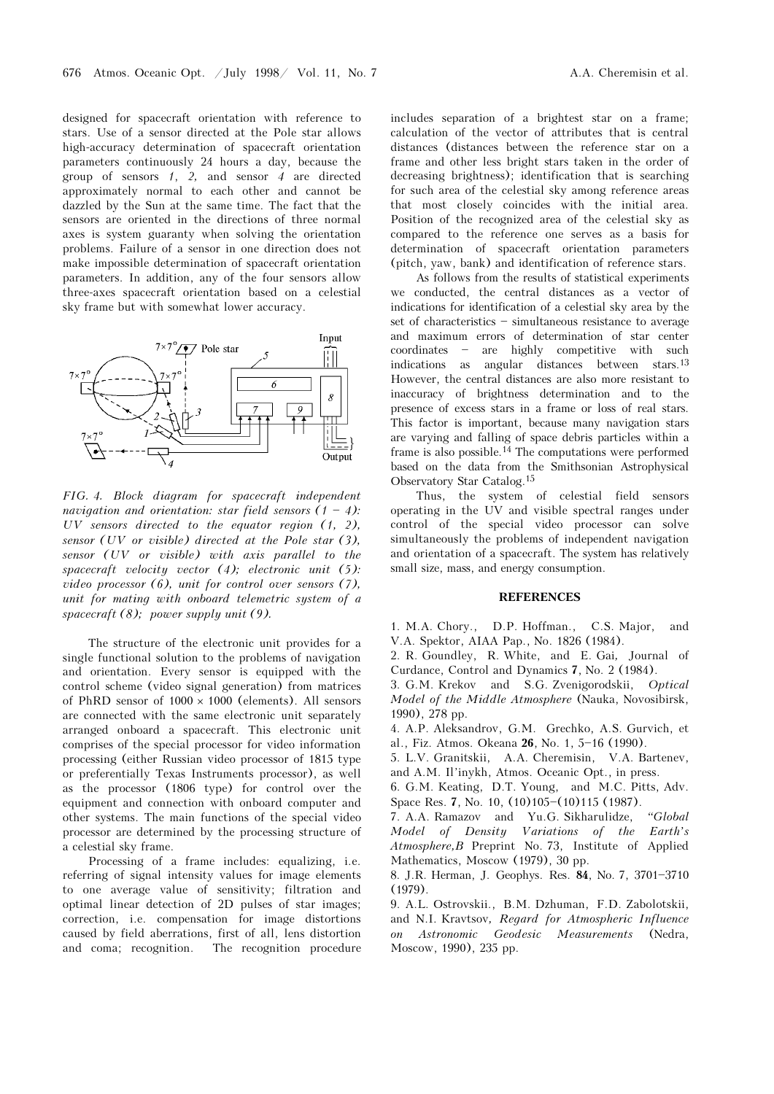designed for spacecraft orientation with reference to stars. Use of a sensor directed at the Pole star allows high-accuracy determination of spacecraft orientation parameters continuously 24 hours a day, because the group of sensors 1, 2, and sensor 4 are directed approximately normal to each other and cannot be dazzled by the Sun at the same time. The fact that the sensors are oriented in the directions of three normal axes is system guaranty when solving the orientation problems. Failure of a sensor in one direction does not make impossible determination of spacecraft orientation parameters. In addition, any of the four sensors allow three-axes spacecraft orientation based on a celestial sky frame but with somewhat lower accuracy.



FIG. 4. Block diagram for spacecraft independent navigation and orientation: star field sensors  $(1 - 4)$ : UV sensors directed to the equator region (1, 2), sensor (UV or visible) directed at the Pole star (3), sensor (UV or visible) with axis parallel to the spacecraft velocity vector (4); electronic unit (5): video processor (6), unit for control over sensors (7), unit for mating with onboard telemetric system of a spacecraft  $(8)$ ; power supply unit  $(9)$ .

The structure of the electronic unit provides for a single functional solution to the problems of navigation and orientation. Every sensor is equipped with the control scheme (video signal generation) from matrices of PhRD sensor of  $1000 \times 1000$  (elements). All sensors are connected with the same electronic unit separately arranged onboard a spacecraft. This electronic unit comprises of the special processor for video information processing (either Russian video processor of 1815 type or preferentially Texas Instruments processor), as well as the processor (1806 type) for control over the equipment and connection with onboard computer and other systems. The main functions of the special video processor are determined by the processing structure of a celestial sky frame.

Processing of a frame includes: equalizing, i.e. referring of signal intensity values for image elements to one average value of sensitivity; filtration and optimal linear detection of 2D pulses of star images; correction, i.e. compensation for image distortions caused by field aberrations, first of all, lens distortion and coma; recognition. The recognition procedure

includes separation of a brightest star on a frame; calculation of the vector of attributes that is central distances (distances between the reference star on a frame and other less bright stars taken in the order of decreasing brightness); identification that is searching for such area of the celestial sky among reference areas that most closely coincides with the initial area. Position of the recognized area of the celestial sky as compared to the reference one serves as a basis for determination of spacecraft orientation parameters (pitch, yaw, bank) and identification of reference stars.

As follows from the results of statistical experiments we conducted, the central distances as a vector of indications for identification of a celestial sky area by the set of characteristics  $-$  simultaneous resistance to average and maximum errors of determination of star center  $coordinates$  - are highly competitive with such indications as angular distances between stars.<sup>13</sup> However, the central distances are also more resistant to inaccuracy of brightness determination and to the presence of excess stars in a frame or loss of real stars. This factor is important, because many navigation stars are varying and falling of space debris particles within a frame is also possible.14 The computations were performed based on the data from the Smithsonian Astrophysical Observatory Star Catalog.<sup>15</sup>

Thus, the system of celestial field sensors operating in the UV and visible spectral ranges under control of the special video processor can solve simultaneously the problems of independent navigation and orientation of a spacecraft. The system has relatively small size, mass, and energy consumption.

## **REFERENCES**

1. M.A. Chory., D.P. Hoffman., C.S. Major, and V.A. Spektor, AIAA Pap., No. 1826 (1984).

2. R. Goundley, R. White, and E. Gai, Journal of Curdance, Control and Dynamics 7, No. 2 (1984).

3. G.M. Krekov and S.G. Zvenigorodskii, Optical Model of the Middle Atmosphere (Nauka, Novosibirsk, 1990), 278 pp.

4. A.P. Aleksandrov, G.M. Grechko, A.S. Gurvich, et al., Fiz. Atmos. Okeana 26, No. 1, 5-16 (1990).

5. L.V. Granitskii, A.A. Cheremisin, V.A. Bartenev, and A.M. Il'inykh, Atmos. Oceanic Opt., in press.

6. G.M. Keating, D.T. Young, and M.C. Pitts, Adv. Space Res. 7, No. 10, (10)105-(10)115 (1987).

7. A.A. Ramazov and Yu.G. Sikharulidze, "Global Model of Density Variations of the Earth's Atmosphere,B Preprint No. 73, Institute of Applied Mathematics, Moscow (1979), 30 pp.

8. J.R. Herman, J. Geophys. Res. 84, No. 7, 3701-3710 (1979).

9. A.L. Ostrovskii., B.M. Dzhuman, F.D. Zabolotskii, and N.I. Kravtsov, Regard for Atmospheric Influence on Astronomic Geodesic Measurements (Nedra, Moscow, 1990), 235 pp.